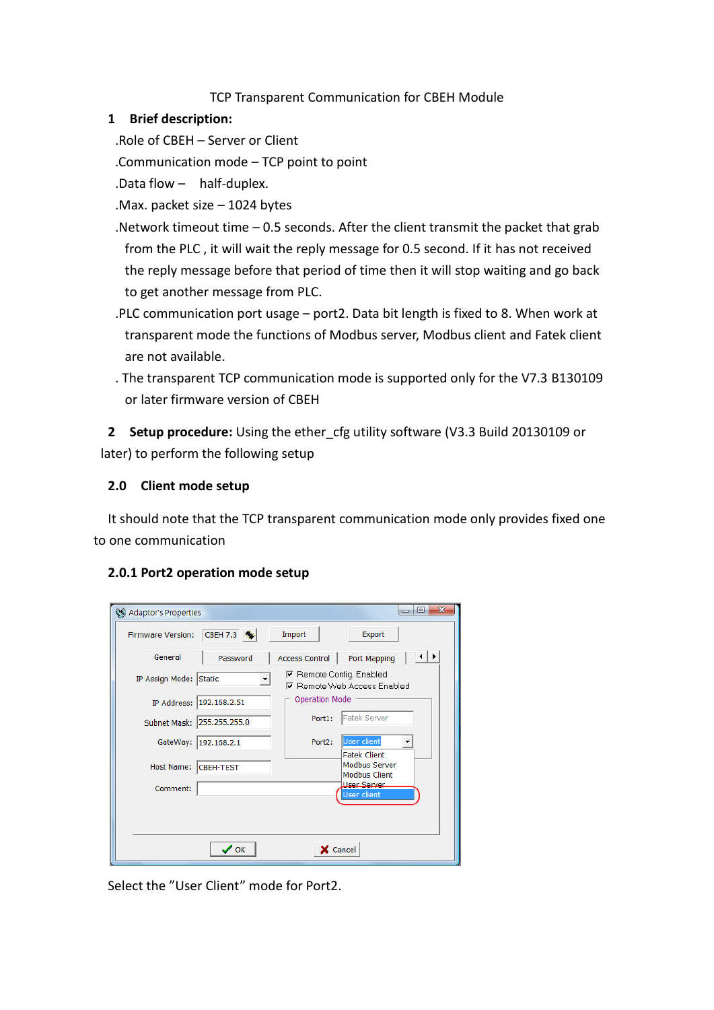## TCP Transparent Communication for CBEH Module

#### **1 Brief description:**

.Role of CBEH – Server or Client

.Communication mode – TCP point to point

- .Data flow half-duplex.
- .Max. packet size 1024 bytes
- .Network timeout time 0.5 seconds. After the client transmit the packet that grab from the PLC , it will wait the reply message for 0.5 second. If it has not received the reply message before that period of time then it will stop waiting and go back to get another message from PLC.
- .PLC communication port usage port2. Data bit length is fixed to 8. When work at transparent mode the functions of Modbus server, Modbus client and Fatek client are not available.
- . The transparent TCP communication mode is supported only for the V7.3 B130109 or later firmware version of CBEH

**2 Setup procedure:** Using the ether\_cfg utility software (V3.3 Build 20130109 or later) to perform the following setup

### **2.0 Client mode setup**

It should note that the TCP transparent communication mode only provides fixed one to one communication

#### **2.0.1 Port2 operation mode setup**

| ©@ Adaptor's Properties  |                                |                                 | $\overline{\mathbf{x}}$<br> ⊟<br>$\Box$                             |
|--------------------------|--------------------------------|---------------------------------|---------------------------------------------------------------------|
| <b>Firmware Version:</b> | CBEH 7.3 \                     | Import                          | Export                                                              |
| General                  | Password                       | <b>Access Control</b>           | $\vert \cdot \vert$<br><b>Port Mapping</b>                          |
| IP Assign Mode:          | Static<br>$\blacktriangledown$ | <b>▽</b> Remote Config. Enabled | <b>▽</b> Remote Web Access Enabled                                  |
| IP Address:              | 192.168.2.51                   | <b>Operation Mode</b>           |                                                                     |
| Subnet Mask:             | 255.255.255.0                  | Port1:                          | Fatek Server                                                        |
| GateWay:                 | 192.168.2.1                    | Port2:                          | <b>User client</b>                                                  |
| Host Name:               | <b>CBEH-TEST</b>               |                                 | <b>Fatek Client</b><br><b>Modbus Server</b><br><b>Modbus Client</b> |
| Comment:                 |                                |                                 | <b>Hear Santar</b><br><b>User client</b>                            |
|                          |                                |                                 |                                                                     |
|                          |                                |                                 |                                                                     |
|                          | $\boldsymbol{\mathcal{S}}$ ok  |                                 | X Cancel                                                            |

Select the "User Client" mode for Port2.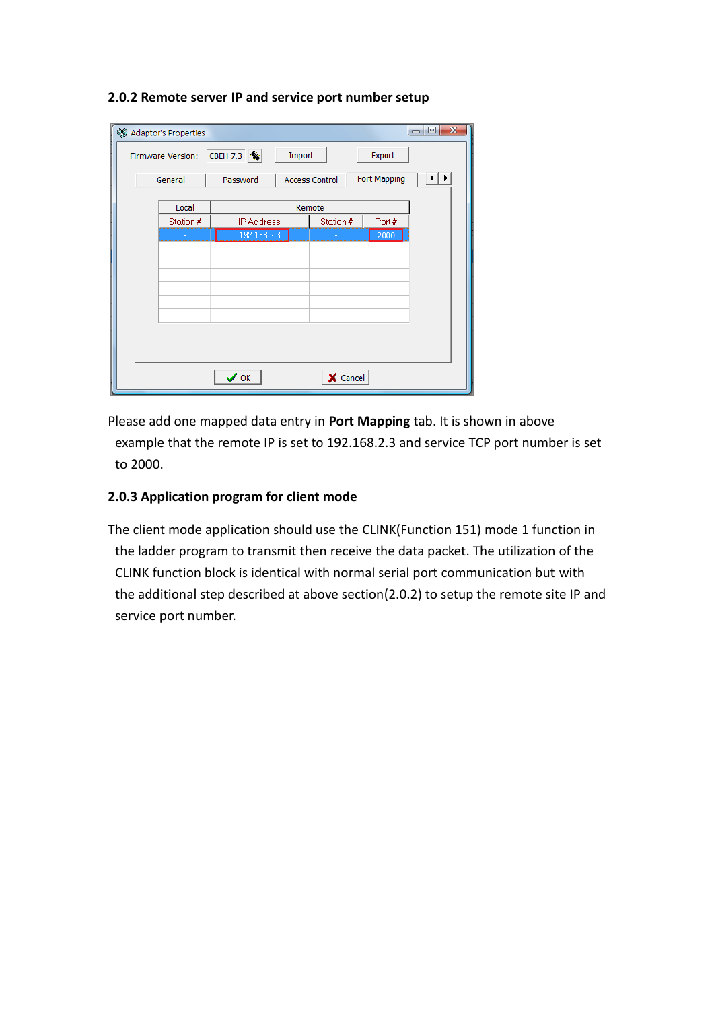#### **2.0.2 Remote server IP and service port number setup**

|                                                            | <b>QQ</b> Adaptor's Properties |                                   |           |                     | $\mathbf{x}$<br>I o<br>$\Box$ |  |  |
|------------------------------------------------------------|--------------------------------|-----------------------------------|-----------|---------------------|-------------------------------|--|--|
| CBEH 7.3 %<br>Import<br>Export<br><b>Firmware Version:</b> |                                |                                   |           |                     |                               |  |  |
|                                                            | General                        | Password<br><b>Access Control</b> |           | <b>Port Mapping</b> | ⊣⊧⊧                           |  |  |
|                                                            | Remote<br>Local                |                                   |           |                     |                               |  |  |
|                                                            | Station #                      | <b>IP Address</b>                 | Station # | Port#               |                               |  |  |
|                                                            |                                | 192.168.2.3                       |           | 2000                |                               |  |  |
|                                                            |                                |                                   |           |                     |                               |  |  |
|                                                            |                                |                                   |           |                     |                               |  |  |
|                                                            |                                |                                   |           |                     |                               |  |  |
|                                                            |                                |                                   |           |                     |                               |  |  |
|                                                            |                                |                                   |           |                     |                               |  |  |
|                                                            |                                |                                   |           |                     |                               |  |  |
|                                                            |                                |                                   |           |                     |                               |  |  |
|                                                            |                                |                                   |           |                     |                               |  |  |
| X Cancel<br>$\checkmark$ ok                                |                                |                                   |           |                     |                               |  |  |

Please add one mapped data entry in **Port Mapping** tab. It is shown in above example that the remote IP is set to 192.168.2.3 and service TCP port number is set to 2000.

## **2.0.3 Application program for client mode**

The client mode application should use the CLINK(Function 151) mode 1 function in the ladder program to transmit then receive the data packet. The utilization of the CLINK function block is identical with normal serial port communication but with the additional step described at above section(2.0.2) to setup the remote site IP and service port number.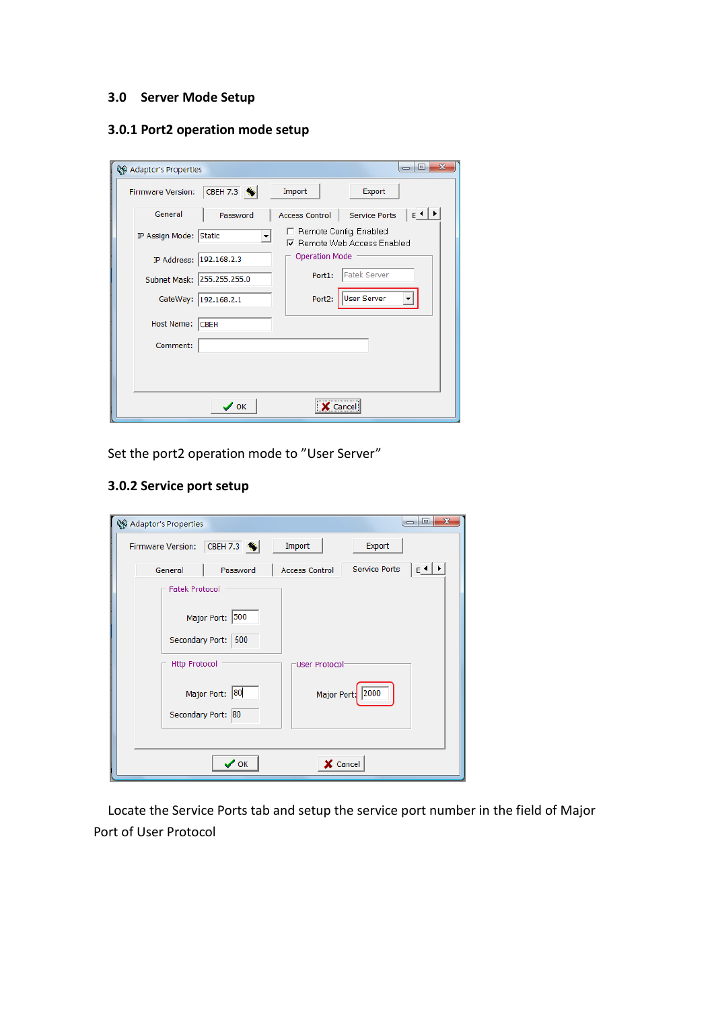## **3.0 Server Mode Setup**

# **3.0.1 Port2 operation mode setup**

| ©® Adaptor's Properties                | $\mathbf{x}$<br>$\Box$<br>$\Box$                             |
|----------------------------------------|--------------------------------------------------------------|
| CBEH 7.3 %<br><b>Firmware Version:</b> | Import<br>Export                                             |
| General<br>Password                    | $E \cdot$<br>Service Ports<br>Access Control                 |
| IP Assign Mode: Static                 | Remote Config. Enabled<br><b>▽</b> Remote Web Access Enabled |
| IP Address: 192.168.2.3                | <b>Operation Mode</b>                                        |
| 255.255.255.0<br>Subnet Mask:          | Fatek Server<br>Port1:                                       |
| GateWay:<br>192.168.2.1                | User Server<br>Port2:                                        |
| Host Name:<br><b>CBEH</b>              |                                                              |
| Comment:                               |                                                              |
|                                        |                                                              |
|                                        |                                                              |
| $\boldsymbol{\mathcal{S}}$ ok          | Cance                                                        |

Set the port2 operation mode to "User Server"

# **3.0.2 Service port setup**

| $\mathbf{x}$<br>▣<br><b>QQ</b> Adaptor's Properties<br>$\overline{\phantom{a}}$ |                    |                       |                  |                            |  |
|---------------------------------------------------------------------------------|--------------------|-----------------------|------------------|----------------------------|--|
| CBEH 7.3<br>Export<br>Import<br><b>Firmware Version:</b>                        |                    |                       |                  |                            |  |
| General                                                                         | Password           | <b>Access Control</b> | Service Ports    | $E \leftarrow \rightarrow$ |  |
| <b>Fatek Protocol</b>                                                           |                    |                       |                  |                            |  |
|                                                                                 | Major Port: 500    |                       |                  |                            |  |
| Secondary Port:                                                                 | 500                |                       |                  |                            |  |
| <b>Http Protocol</b>                                                            |                    | User Protocol         |                  |                            |  |
| Major Port: 80                                                                  |                    |                       | Major Port: 2000 |                            |  |
|                                                                                 | Secondary Port: 80 |                       |                  |                            |  |
|                                                                                 |                    |                       |                  |                            |  |
|                                                                                 | $\vee$ ok          | X Cancel              |                  |                            |  |

Locate the Service Ports tab and setup the service port number in the field of Major Port of User Protocol